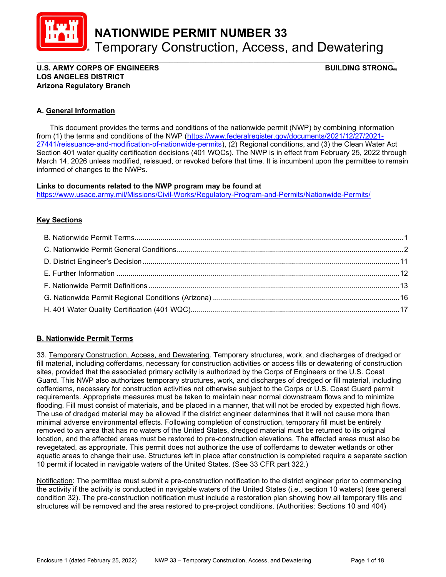

NATIONWIDE PERMIT NUMBER 33 Temporary Construction, Access, and Dewatering

#### \_\_\_\_\_\_\_\_\_\_\_\_\_\_\_\_\_\_\_\_\_\_\_\_\_\_\_\_\_\_\_\_\_\_\_\_\_\_\_\_\_\_\_\_\_\_\_\_\_\_\_\_\_\_\_\_\_\_\_\_\_\_\_\_\_\_\_\_\_\_\_\_\_\_\_\_\_\_\_\_\_\_\_\_\_\_\_\_\_ U.S. ARMY CORPS OF ENGINEERS  $\begin{array}{ccc} \text{U.S.} & \text{ARMY CORPS} \end{array}$ LOS ANGELES DISTRICT Arizona Regulatory Branch

# A. General Information

 This document provides the terms and conditions of the nationwide permit (NWP) by combining information from (1) the terms and conditions of the NWP (https://www.federalregister.gov/documents/2021/12/27/2021- 27441/reissuance-and-modification-of-nationwide-permits), (2) Regional conditions, and (3) the Clean Water Act Section 401 water quality certification decisions (401 WQCs). The NWP is in effect from February 25, 2022 through March 14, 2026 unless modified, reissued, or revoked before that time. It is incumbent upon the permittee to remain informed of changes to the NWPs.

## Links to documents related to the NWP program may be found at

https://www.usace.army.mil/Missions/Civil-Works/Regulatory-Program-and-Permits/Nationwide-Permits/

# **Key Sections**

# B. Nationwide Permit Terms

33. Temporary Construction, Access, and Dewatering. Temporary structures, work, and discharges of dredged or fill material, including cofferdams, necessary for construction activities or access fills or dewatering of construction sites, provided that the associated primary activity is authorized by the Corps of Engineers or the U.S. Coast Guard. This NWP also authorizes temporary structures, work, and discharges of dredged or fill material, including cofferdams, necessary for construction activities not otherwise subject to the Corps or U.S. Coast Guard permit requirements. Appropriate measures must be taken to maintain near normal downstream flows and to minimize flooding. Fill must consist of materials, and be placed in a manner, that will not be eroded by expected high flows. The use of dredged material may be allowed if the district engineer determines that it will not cause more than minimal adverse environmental effects. Following completion of construction, temporary fill must be entirely removed to an area that has no waters of the United States, dredged material must be returned to its original location, and the affected areas must be restored to pre-construction elevations. The affected areas must also be revegetated, as appropriate. This permit does not authorize the use of cofferdams to dewater wetlands or other aquatic areas to change their use. Structures left in place after construction is completed require a separate section 10 permit if located in navigable waters of the United States. (See 33 CFR part 322.)

Notification: The permittee must submit a pre-construction notification to the district engineer prior to commencing the activity if the activity is conducted in navigable waters of the United States (i.e., section 10 waters) (see general condition 32). The pre-construction notification must include a restoration plan showing how all temporary fills and structures will be removed and the area restored to pre-project conditions. (Authorities: Sections 10 and 404)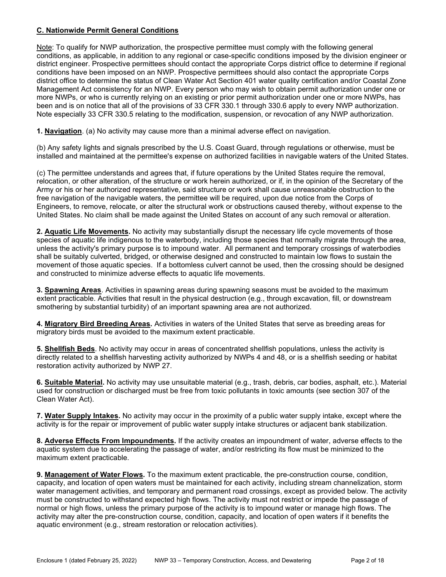# C. Nationwide Permit General Conditions

Note: To qualify for NWP authorization, the prospective permittee must comply with the following general conditions, as applicable, in addition to any regional or case-specific conditions imposed by the division engineer or district engineer. Prospective permittees should contact the appropriate Corps district office to determine if regional conditions have been imposed on an NWP. Prospective permittees should also contact the appropriate Corps district office to determine the status of Clean Water Act Section 401 water quality certification and/or Coastal Zone Management Act consistency for an NWP. Every person who may wish to obtain permit authorization under one or more NWPs, or who is currently relying on an existing or prior permit authorization under one or more NWPs, has been and is on notice that all of the provisions of 33 CFR 330.1 through 330.6 apply to every NWP authorization. Note especially 33 CFR 330.5 relating to the modification, suspension, or revocation of any NWP authorization.

1. Navigation. (a) No activity may cause more than a minimal adverse effect on navigation.

(b) Any safety lights and signals prescribed by the U.S. Coast Guard, through regulations or otherwise, must be installed and maintained at the permittee's expense on authorized facilities in navigable waters of the United States.

(c) The permittee understands and agrees that, if future operations by the United States require the removal, relocation, or other alteration, of the structure or work herein authorized, or if, in the opinion of the Secretary of the Army or his or her authorized representative, said structure or work shall cause unreasonable obstruction to the free navigation of the navigable waters, the permittee will be required, upon due notice from the Corps of Engineers, to remove, relocate, or alter the structural work or obstructions caused thereby, without expense to the United States. No claim shall be made against the United States on account of any such removal or alteration.

2. Aquatic Life Movements. No activity may substantially disrupt the necessary life cycle movements of those species of aquatic life indigenous to the waterbody, including those species that normally migrate through the area, unless the activity's primary purpose is to impound water. All permanent and temporary crossings of waterbodies shall be suitably culverted, bridged, or otherwise designed and constructed to maintain low flows to sustain the movement of those aquatic species. If a bottomless culvert cannot be used, then the crossing should be designed and constructed to minimize adverse effects to aquatic life movements.

**3. Spawning Areas.** Activities in spawning areas during spawning seasons must be avoided to the maximum extent practicable. Activities that result in the physical destruction (e.g., through excavation, fill, or downstream smothering by substantial turbidity) of an important spawning area are not authorized.

4. Migratory Bird Breeding Areas. Activities in waters of the United States that serve as breeding areas for migratory birds must be avoided to the maximum extent practicable.

5. Shellfish Beds. No activity may occur in areas of concentrated shellfish populations, unless the activity is directly related to a shellfish harvesting activity authorized by NWPs 4 and 48, or is a shellfish seeding or habitat restoration activity authorized by NWP 27.

6. Suitable Material. No activity may use unsuitable material (e.g., trash, debris, car bodies, asphalt, etc.). Material used for construction or discharged must be free from toxic pollutants in toxic amounts (see section 307 of the Clean Water Act).

7. Water Supply Intakes. No activity may occur in the proximity of a public water supply intake, except where the activity is for the repair or improvement of public water supply intake structures or adjacent bank stabilization.

8. Adverse Effects From Impoundments. If the activity creates an impoundment of water, adverse effects to the aquatic system due to accelerating the passage of water, and/or restricting its flow must be minimized to the maximum extent practicable.

9. Management of Water Flows. To the maximum extent practicable, the pre-construction course, condition, capacity, and location of open waters must be maintained for each activity, including stream channelization, storm water management activities, and temporary and permanent road crossings, except as provided below. The activity must be constructed to withstand expected high flows. The activity must not restrict or impede the passage of normal or high flows, unless the primary purpose of the activity is to impound water or manage high flows. The activity may alter the pre-construction course, condition, capacity, and location of open waters if it benefits the aquatic environment (e.g., stream restoration or relocation activities).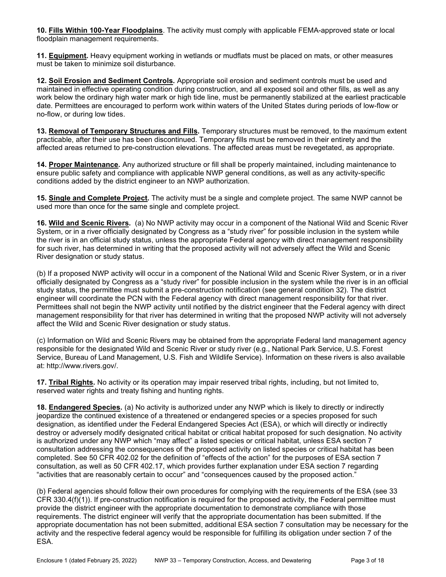10. Fills Within 100-Year Floodplains. The activity must comply with applicable FEMA-approved state or local floodplain management requirements.

11. Equipment. Heavy equipment working in wetlands or mudflats must be placed on mats, or other measures must be taken to minimize soil disturbance.

12. Soil Erosion and Sediment Controls. Appropriate soil erosion and sediment controls must be used and maintained in effective operating condition during construction, and all exposed soil and other fills, as well as any work below the ordinary high water mark or high tide line, must be permanently stabilized at the earliest practicable date. Permittees are encouraged to perform work within waters of the United States during periods of low-flow or no-flow, or during low tides.

13. Removal of Temporary Structures and Fills. Temporary structures must be removed, to the maximum extent practicable, after their use has been discontinued. Temporary fills must be removed in their entirety and the affected areas returned to pre-construction elevations. The affected areas must be revegetated, as appropriate.

14. Proper Maintenance. Any authorized structure or fill shall be properly maintained, including maintenance to ensure public safety and compliance with applicable NWP general conditions, as well as any activity-specific conditions added by the district engineer to an NWP authorization.

15. Single and Complete Project. The activity must be a single and complete project. The same NWP cannot be used more than once for the same single and complete project.

16. Wild and Scenic Rivers. (a) No NWP activity may occur in a component of the National Wild and Scenic River System, or in a river officially designated by Congress as a "study river" for possible inclusion in the system while the river is in an official study status, unless the appropriate Federal agency with direct management responsibility for such river, has determined in writing that the proposed activity will not adversely affect the Wild and Scenic River designation or study status.

(b) If a proposed NWP activity will occur in a component of the National Wild and Scenic River System, or in a river officially designated by Congress as a "study river" for possible inclusion in the system while the river is in an official study status, the permittee must submit a pre-construction notification (see general condition 32). The district engineer will coordinate the PCN with the Federal agency with direct management responsibility for that river. Permittees shall not begin the NWP activity until notified by the district engineer that the Federal agency with direct management responsibility for that river has determined in writing that the proposed NWP activity will not adversely affect the Wild and Scenic River designation or study status.

(c) Information on Wild and Scenic Rivers may be obtained from the appropriate Federal land management agency responsible for the designated Wild and Scenic River or study river (e.g., National Park Service, U.S. Forest Service, Bureau of Land Management, U.S. Fish and Wildlife Service). Information on these rivers is also available at: http://www.rivers.gov/.

17. Tribal Rights. No activity or its operation may impair reserved tribal rights, including, but not limited to, reserved water rights and treaty fishing and hunting rights.

18. Endangered Species. (a) No activity is authorized under any NWP which is likely to directly or indirectly jeopardize the continued existence of a threatened or endangered species or a species proposed for such designation, as identified under the Federal Endangered Species Act (ESA), or which will directly or indirectly destroy or adversely modify designated critical habitat or critical habitat proposed for such designation. No activity is authorized under any NWP which "may affect" a listed species or critical habitat, unless ESA section 7 consultation addressing the consequences of the proposed activity on listed species or critical habitat has been completed. See 50 CFR 402.02 for the definition of "effects of the action" for the purposes of ESA section 7 consultation, as well as 50 CFR 402.17, which provides further explanation under ESA section 7 regarding "activities that are reasonably certain to occur" and "consequences caused by the proposed action."

(b) Federal agencies should follow their own procedures for complying with the requirements of the ESA (see 33 CFR 330.4(f)(1)). If pre-construction notification is required for the proposed activity, the Federal permittee must provide the district engineer with the appropriate documentation to demonstrate compliance with those requirements. The district engineer will verify that the appropriate documentation has been submitted. If the appropriate documentation has not been submitted, additional ESA section 7 consultation may be necessary for the activity and the respective federal agency would be responsible for fulfilling its obligation under section 7 of the ESA.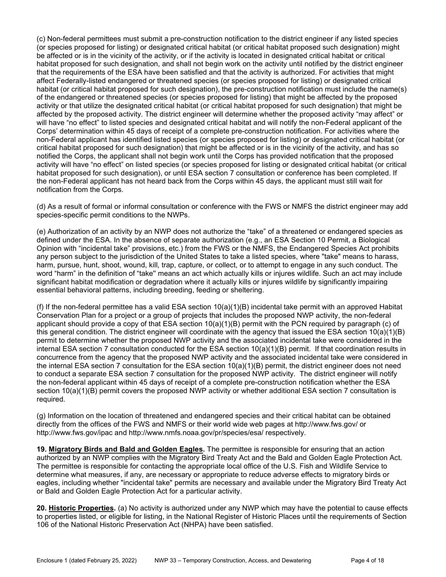(c) Non-federal permittees must submit a pre-construction notification to the district engineer if any listed species (or species proposed for listing) or designated critical habitat (or critical habitat proposed such designation) might be affected or is in the vicinity of the activity, or if the activity is located in designated critical habitat or critical habitat proposed for such designation, and shall not begin work on the activity until notified by the district engineer that the requirements of the ESA have been satisfied and that the activity is authorized. For activities that might affect Federally-listed endangered or threatened species (or species proposed for listing) or designated critical habitat (or critical habitat proposed for such designation), the pre-construction notification must include the name(s) of the endangered or threatened species (or species proposed for listing) that might be affected by the proposed activity or that utilize the designated critical habitat (or critical habitat proposed for such designation) that might be affected by the proposed activity. The district engineer will determine whether the proposed activity "may affect" or will have "no effect" to listed species and designated critical habitat and will notify the non-Federal applicant of the Corps' determination within 45 days of receipt of a complete pre-construction notification. For activities where the non-Federal applicant has identified listed species (or species proposed for listing) or designated critical habitat (or critical habitat proposed for such designation) that might be affected or is in the vicinity of the activity, and has so notified the Corps, the applicant shall not begin work until the Corps has provided notification that the proposed activity will have "no effect" on listed species (or species proposed for listing or designated critical habitat (or critical habitat proposed for such designation), or until ESA section 7 consultation or conference has been completed. If the non-Federal applicant has not heard back from the Corps within 45 days, the applicant must still wait for notification from the Corps.

(d) As a result of formal or informal consultation or conference with the FWS or NMFS the district engineer may add species-specific permit conditions to the NWPs.

(e) Authorization of an activity by an NWP does not authorize the "take" of a threatened or endangered species as defined under the ESA. In the absence of separate authorization (e.g., an ESA Section 10 Permit, a Biological Opinion with "incidental take" provisions, etc.) from the FWS or the NMFS, the Endangered Species Act prohibits any person subject to the jurisdiction of the United States to take a listed species, where "take" means to harass, harm, pursue, hunt, shoot, wound, kill, trap, capture, or collect, or to attempt to engage in any such conduct. The word "harm" in the definition of "take'' means an act which actually kills or injures wildlife. Such an act may include significant habitat modification or degradation where it actually kills or injures wildlife by significantly impairing essential behavioral patterns, including breeding, feeding or sheltering.

(f) If the non-federal permittee has a valid ESA section  $10(a)(1)(B)$  incidental take permit with an approved Habitat Conservation Plan for a project or a group of projects that includes the proposed NWP activity, the non-federal applicant should provide a copy of that ESA section 10(a)(1)(B) permit with the PCN required by paragraph (c) of this general condition. The district engineer will coordinate with the agency that issued the ESA section 10(a)(1)(B) permit to determine whether the proposed NWP activity and the associated incidental take were considered in the internal ESA section 7 consultation conducted for the ESA section 10(a)(1)(B) permit. If that coordination results in concurrence from the agency that the proposed NWP activity and the associated incidental take were considered in the internal ESA section 7 consultation for the ESA section 10(a)(1)(B) permit, the district engineer does not need to conduct a separate ESA section 7 consultation for the proposed NWP activity. The district engineer will notify the non-federal applicant within 45 days of receipt of a complete pre-construction notification whether the ESA section 10(a)(1)(B) permit covers the proposed NWP activity or whether additional ESA section 7 consultation is required.

(g) Information on the location of threatened and endangered species and their critical habitat can be obtained directly from the offices of the FWS and NMFS or their world wide web pages at http://www.fws.gov/ or http://www.fws.gov/ipac and http://www.nmfs.noaa.gov/pr/species/esa/ respectively.

19. Migratory Birds and Bald and Golden Eagles. The permittee is responsible for ensuring that an action authorized by an NWP complies with the Migratory Bird Treaty Act and the Bald and Golden Eagle Protection Act. The permittee is responsible for contacting the appropriate local office of the U.S. Fish and Wildlife Service to determine what measures, if any, are necessary or appropriate to reduce adverse effects to migratory birds or eagles, including whether "incidental take" permits are necessary and available under the Migratory Bird Treaty Act or Bald and Golden Eagle Protection Act for a particular activity.

20. Historic Properties. (a) No activity is authorized under any NWP which may have the potential to cause effects to properties listed, or eligible for listing, in the National Register of Historic Places until the requirements of Section 106 of the National Historic Preservation Act (NHPA) have been satisfied.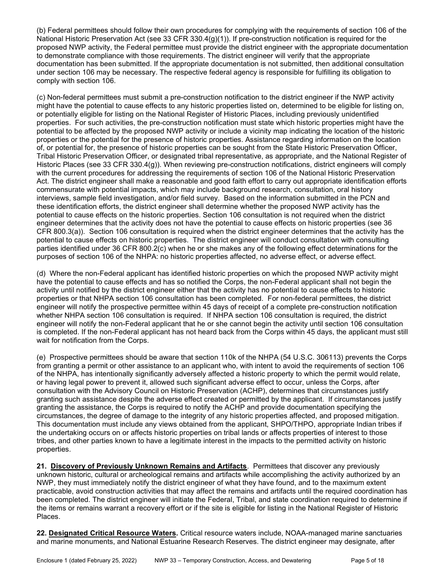(b) Federal permittees should follow their own procedures for complying with the requirements of section 106 of the National Historic Preservation Act (see 33 CFR 330.4(g)(1)). If pre-construction notification is required for the proposed NWP activity, the Federal permittee must provide the district engineer with the appropriate documentation to demonstrate compliance with those requirements. The district engineer will verify that the appropriate documentation has been submitted. If the appropriate documentation is not submitted, then additional consultation under section 106 may be necessary. The respective federal agency is responsible for fulfilling its obligation to comply with section 106.

(c) Non-federal permittees must submit a pre-construction notification to the district engineer if the NWP activity might have the potential to cause effects to any historic properties listed on, determined to be eligible for listing on, or potentially eligible for listing on the National Register of Historic Places, including previously unidentified properties. For such activities, the pre-construction notification must state which historic properties might have the potential to be affected by the proposed NWP activity or include a vicinity map indicating the location of the historic properties or the potential for the presence of historic properties. Assistance regarding information on the location of, or potential for, the presence of historic properties can be sought from the State Historic Preservation Officer, Tribal Historic Preservation Officer, or designated tribal representative, as appropriate, and the National Register of Historic Places (see 33 CFR 330.4(g)). When reviewing pre-construction notifications, district engineers will comply with the current procedures for addressing the requirements of section 106 of the National Historic Preservation Act. The district engineer shall make a reasonable and good faith effort to carry out appropriate identification efforts commensurate with potential impacts, which may include background research, consultation, oral history interviews, sample field investigation, and/or field survey. Based on the information submitted in the PCN and these identification efforts, the district engineer shall determine whether the proposed NWP activity has the potential to cause effects on the historic properties. Section 106 consultation is not required when the district engineer determines that the activity does not have the potential to cause effects on historic properties (see 36 CFR 800.3(a)). Section 106 consultation is required when the district engineer determines that the activity has the potential to cause effects on historic properties. The district engineer will conduct consultation with consulting parties identified under 36 CFR 800.2(c) when he or she makes any of the following effect determinations for the purposes of section 106 of the NHPA: no historic properties affected, no adverse effect, or adverse effect.

(d) Where the non-Federal applicant has identified historic properties on which the proposed NWP activity might have the potential to cause effects and has so notified the Corps, the non-Federal applicant shall not begin the activity until notified by the district engineer either that the activity has no potential to cause effects to historic properties or that NHPA section 106 consultation has been completed. For non-federal permittees, the district engineer will notify the prospective permittee within 45 days of receipt of a complete pre-construction notification whether NHPA section 106 consultation is required. If NHPA section 106 consultation is required, the district engineer will notify the non-Federal applicant that he or she cannot begin the activity until section 106 consultation is completed. If the non-Federal applicant has not heard back from the Corps within 45 days, the applicant must still wait for notification from the Corps.

(e) Prospective permittees should be aware that section 110k of the NHPA (54 U.S.C. 306113) prevents the Corps from granting a permit or other assistance to an applicant who, with intent to avoid the requirements of section 106 of the NHPA, has intentionally significantly adversely affected a historic property to which the permit would relate, or having legal power to prevent it, allowed such significant adverse effect to occur, unless the Corps, after consultation with the Advisory Council on Historic Preservation (ACHP), determines that circumstances justify granting such assistance despite the adverse effect created or permitted by the applicant. If circumstances justify granting the assistance, the Corps is required to notify the ACHP and provide documentation specifying the circumstances, the degree of damage to the integrity of any historic properties affected, and proposed mitigation. This documentation must include any views obtained from the applicant, SHPO/THPO, appropriate Indian tribes if the undertaking occurs on or affects historic properties on tribal lands or affects properties of interest to those tribes, and other parties known to have a legitimate interest in the impacts to the permitted activity on historic properties.

21. Discovery of Previously Unknown Remains and Artifacts. Permittees that discover any previously unknown historic, cultural or archeological remains and artifacts while accomplishing the activity authorized by an NWP, they must immediately notify the district engineer of what they have found, and to the maximum extent practicable, avoid construction activities that may affect the remains and artifacts until the required coordination has been completed. The district engineer will initiate the Federal, Tribal, and state coordination required to determine if the items or remains warrant a recovery effort or if the site is eligible for listing in the National Register of Historic Places.

22. Designated Critical Resource Waters. Critical resource waters include, NOAA-managed marine sanctuaries and marine monuments, and National Estuarine Research Reserves. The district engineer may designate, after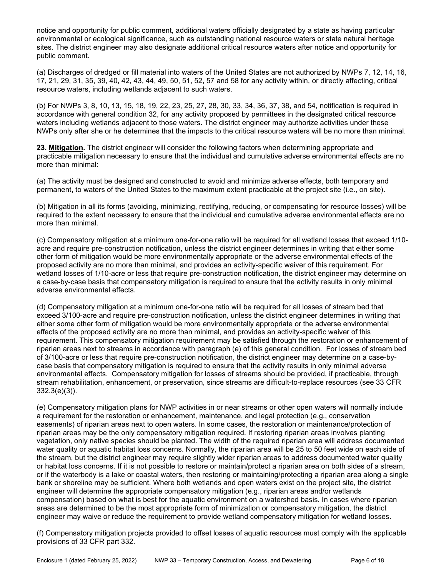notice and opportunity for public comment, additional waters officially designated by a state as having particular environmental or ecological significance, such as outstanding national resource waters or state natural heritage sites. The district engineer may also designate additional critical resource waters after notice and opportunity for public comment.

(a) Discharges of dredged or fill material into waters of the United States are not authorized by NWPs 7, 12, 14, 16, 17, 21, 29, 31, 35, 39, 40, 42, 43, 44, 49, 50, 51, 52, 57 and 58 for any activity within, or directly affecting, critical resource waters, including wetlands adjacent to such waters.

(b) For NWPs 3, 8, 10, 13, 15, 18, 19, 22, 23, 25, 27, 28, 30, 33, 34, 36, 37, 38, and 54, notification is required in accordance with general condition 32, for any activity proposed by permittees in the designated critical resource waters including wetlands adjacent to those waters. The district engineer may authorize activities under these NWPs only after she or he determines that the impacts to the critical resource waters will be no more than minimal.

23. Mitigation. The district engineer will consider the following factors when determining appropriate and practicable mitigation necessary to ensure that the individual and cumulative adverse environmental effects are no more than minimal:

(a) The activity must be designed and constructed to avoid and minimize adverse effects, both temporary and permanent, to waters of the United States to the maximum extent practicable at the project site (i.e., on site).

(b) Mitigation in all its forms (avoiding, minimizing, rectifying, reducing, or compensating for resource losses) will be required to the extent necessary to ensure that the individual and cumulative adverse environmental effects are no more than minimal.

(c) Compensatory mitigation at a minimum one-for-one ratio will be required for all wetland losses that exceed 1/10 acre and require pre-construction notification, unless the district engineer determines in writing that either some other form of mitigation would be more environmentally appropriate or the adverse environmental effects of the proposed activity are no more than minimal, and provides an activity-specific waiver of this requirement. For wetland losses of 1/10-acre or less that require pre-construction notification, the district engineer may determine on a case-by-case basis that compensatory mitigation is required to ensure that the activity results in only minimal adverse environmental effects.

(d) Compensatory mitigation at a minimum one-for-one ratio will be required for all losses of stream bed that exceed 3/100-acre and require pre-construction notification, unless the district engineer determines in writing that either some other form of mitigation would be more environmentally appropriate or the adverse environmental effects of the proposed activity are no more than minimal, and provides an activity-specific waiver of this requirement. This compensatory mitigation requirement may be satisfied through the restoration or enhancement of riparian areas next to streams in accordance with paragraph (e) of this general condition. For losses of stream bed of 3/100-acre or less that require pre-construction notification, the district engineer may determine on a case-bycase basis that compensatory mitigation is required to ensure that the activity results in only minimal adverse environmental effects. Compensatory mitigation for losses of streams should be provided, if practicable, through stream rehabilitation, enhancement, or preservation, since streams are difficult-to-replace resources (see 33 CFR 332.3(e)(3)).

(e) Compensatory mitigation plans for NWP activities in or near streams or other open waters will normally include a requirement for the restoration or enhancement, maintenance, and legal protection (e.g., conservation easements) of riparian areas next to open waters. In some cases, the restoration or maintenance/protection of riparian areas may be the only compensatory mitigation required. If restoring riparian areas involves planting vegetation, only native species should be planted. The width of the required riparian area will address documented water quality or aquatic habitat loss concerns. Normally, the riparian area will be 25 to 50 feet wide on each side of the stream, but the district engineer may require slightly wider riparian areas to address documented water quality or habitat loss concerns. If it is not possible to restore or maintain/protect a riparian area on both sides of a stream, or if the waterbody is a lake or coastal waters, then restoring or maintaining/protecting a riparian area along a single bank or shoreline may be sufficient. Where both wetlands and open waters exist on the project site, the district engineer will determine the appropriate compensatory mitigation (e.g., riparian areas and/or wetlands compensation) based on what is best for the aquatic environment on a watershed basis. In cases where riparian areas are determined to be the most appropriate form of minimization or compensatory mitigation, the district engineer may waive or reduce the requirement to provide wetland compensatory mitigation for wetland losses.

(f) Compensatory mitigation projects provided to offset losses of aquatic resources must comply with the applicable provisions of 33 CFR part 332.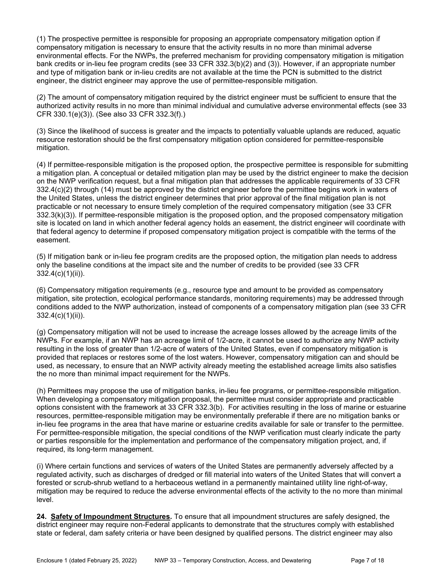(1) The prospective permittee is responsible for proposing an appropriate compensatory mitigation option if compensatory mitigation is necessary to ensure that the activity results in no more than minimal adverse environmental effects. For the NWPs, the preferred mechanism for providing compensatory mitigation is mitigation bank credits or in-lieu fee program credits (see 33 CFR 332.3(b)(2) and (3)). However, if an appropriate number and type of mitigation bank or in-lieu credits are not available at the time the PCN is submitted to the district engineer, the district engineer may approve the use of permittee-responsible mitigation.

(2) The amount of compensatory mitigation required by the district engineer must be sufficient to ensure that the authorized activity results in no more than minimal individual and cumulative adverse environmental effects (see 33 CFR 330.1(e)(3)). (See also 33 CFR 332.3(f).)

(3) Since the likelihood of success is greater and the impacts to potentially valuable uplands are reduced, aquatic resource restoration should be the first compensatory mitigation option considered for permittee-responsible mitigation.

(4) If permittee-responsible mitigation is the proposed option, the prospective permittee is responsible for submitting a mitigation plan. A conceptual or detailed mitigation plan may be used by the district engineer to make the decision on the NWP verification request, but a final mitigation plan that addresses the applicable requirements of 33 CFR 332.4(c)(2) through (14) must be approved by the district engineer before the permittee begins work in waters of the United States, unless the district engineer determines that prior approval of the final mitigation plan is not practicable or not necessary to ensure timely completion of the required compensatory mitigation (see 33 CFR 332.3(k)(3)). If permittee-responsible mitigation is the proposed option, and the proposed compensatory mitigation site is located on land in which another federal agency holds an easement, the district engineer will coordinate with that federal agency to determine if proposed compensatory mitigation project is compatible with the terms of the easement.

(5) If mitigation bank or in-lieu fee program credits are the proposed option, the mitigation plan needs to address only the baseline conditions at the impact site and the number of credits to be provided (see 33 CFR 332.4(c)(1)(ii)).

(6) Compensatory mitigation requirements (e.g., resource type and amount to be provided as compensatory mitigation, site protection, ecological performance standards, monitoring requirements) may be addressed through conditions added to the NWP authorization, instead of components of a compensatory mitigation plan (see 33 CFR 332.4(c)(1)(ii)).

(g) Compensatory mitigation will not be used to increase the acreage losses allowed by the acreage limits of the NWPs. For example, if an NWP has an acreage limit of 1/2-acre, it cannot be used to authorize any NWP activity resulting in the loss of greater than 1/2-acre of waters of the United States, even if compensatory mitigation is provided that replaces or restores some of the lost waters. However, compensatory mitigation can and should be used, as necessary, to ensure that an NWP activity already meeting the established acreage limits also satisfies the no more than minimal impact requirement for the NWPs.

(h) Permittees may propose the use of mitigation banks, in-lieu fee programs, or permittee-responsible mitigation. When developing a compensatory mitigation proposal, the permittee must consider appropriate and practicable options consistent with the framework at 33 CFR 332.3(b). For activities resulting in the loss of marine or estuarine resources, permittee-responsible mitigation may be environmentally preferable if there are no mitigation banks or in-lieu fee programs in the area that have marine or estuarine credits available for sale or transfer to the permittee. For permittee-responsible mitigation, the special conditions of the NWP verification must clearly indicate the party or parties responsible for the implementation and performance of the compensatory mitigation project, and, if required, its long-term management.

(i) Where certain functions and services of waters of the United States are permanently adversely affected by a regulated activity, such as discharges of dredged or fill material into waters of the United States that will convert a forested or scrub-shrub wetland to a herbaceous wetland in a permanently maintained utility line right-of-way, mitigation may be required to reduce the adverse environmental effects of the activity to the no more than minimal level.

24. Safety of Impoundment Structures. To ensure that all impoundment structures are safely designed, the district engineer may require non-Federal applicants to demonstrate that the structures comply with established state or federal, dam safety criteria or have been designed by qualified persons. The district engineer may also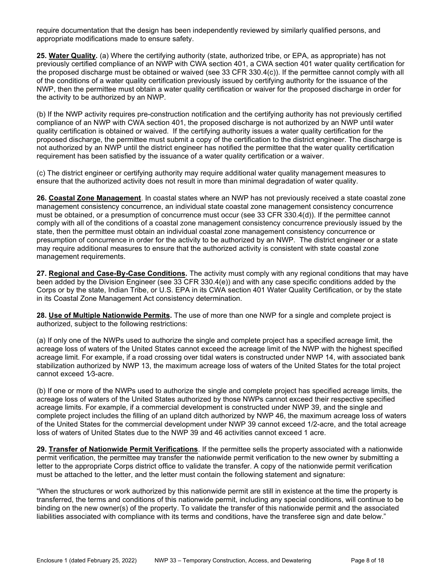require documentation that the design has been independently reviewed by similarly qualified persons, and appropriate modifications made to ensure safety.

25. Water Quality. (a) Where the certifying authority (state, authorized tribe, or EPA, as appropriate) has not previously certified compliance of an NWP with CWA section 401, a CWA section 401 water quality certification for the proposed discharge must be obtained or waived (see 33 CFR 330.4(c)). If the permittee cannot comply with all of the conditions of a water quality certification previously issued by certifying authority for the issuance of the NWP, then the permittee must obtain a water quality certification or waiver for the proposed discharge in order for the activity to be authorized by an NWP.

(b) If the NWP activity requires pre-construction notification and the certifying authority has not previously certified compliance of an NWP with CWA section 401, the proposed discharge is not authorized by an NWP until water quality certification is obtained or waived. If the certifying authority issues a water quality certification for the proposed discharge, the permittee must submit a copy of the certification to the district engineer. The discharge is not authorized by an NWP until the district engineer has notified the permittee that the water quality certification requirement has been satisfied by the issuance of a water quality certification or a waiver.

(c) The district engineer or certifying authority may require additional water quality management measures to ensure that the authorized activity does not result in more than minimal degradation of water quality.

26. Coastal Zone Management. In coastal states where an NWP has not previously received a state coastal zone management consistency concurrence, an individual state coastal zone management consistency concurrence must be obtained, or a presumption of concurrence must occur (see 33 CFR 330.4(d)). If the permittee cannot comply with all of the conditions of a coastal zone management consistency concurrence previously issued by the state, then the permittee must obtain an individual coastal zone management consistency concurrence or presumption of concurrence in order for the activity to be authorized by an NWP. The district engineer or a state may require additional measures to ensure that the authorized activity is consistent with state coastal zone management requirements.

27. Regional and Case-By-Case Conditions. The activity must comply with any regional conditions that may have been added by the Division Engineer (see 33 CFR 330.4(e)) and with any case specific conditions added by the Corps or by the state, Indian Tribe, or U.S. EPA in its CWA section 401 Water Quality Certification, or by the state in its Coastal Zone Management Act consistency determination.

28. Use of Multiple Nationwide Permits. The use of more than one NWP for a single and complete project is authorized, subject to the following restrictions:

(a) If only one of the NWPs used to authorize the single and complete project has a specified acreage limit, the acreage loss of waters of the United States cannot exceed the acreage limit of the NWP with the highest specified acreage limit. For example, if a road crossing over tidal waters is constructed under NWP 14, with associated bank stabilization authorized by NWP 13, the maximum acreage loss of waters of the United States for the total project cannot exceed 1⁄3-acre.

(b) If one or more of the NWPs used to authorize the single and complete project has specified acreage limits, the acreage loss of waters of the United States authorized by those NWPs cannot exceed their respective specified acreage limits. For example, if a commercial development is constructed under NWP 39, and the single and complete project includes the filling of an upland ditch authorized by NWP 46, the maximum acreage loss of waters of the United States for the commercial development under NWP 39 cannot exceed 1/2-acre, and the total acreage loss of waters of United States due to the NWP 39 and 46 activities cannot exceed 1 acre.

29. Transfer of Nationwide Permit Verifications. If the permittee sells the property associated with a nationwide permit verification, the permittee may transfer the nationwide permit verification to the new owner by submitting a letter to the appropriate Corps district office to validate the transfer. A copy of the nationwide permit verification must be attached to the letter, and the letter must contain the following statement and signature:

"When the structures or work authorized by this nationwide permit are still in existence at the time the property is transferred, the terms and conditions of this nationwide permit, including any special conditions, will continue to be binding on the new owner(s) of the property. To validate the transfer of this nationwide permit and the associated liabilities associated with compliance with its terms and conditions, have the transferee sign and date below."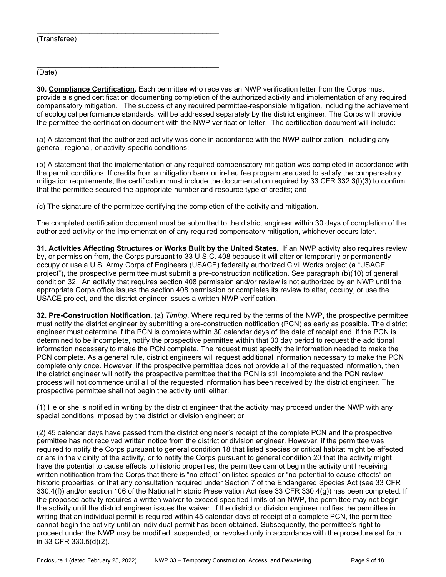## (Transferee)

\_\_\_\_\_\_\_\_\_\_\_\_\_\_\_\_\_\_\_\_\_\_\_\_\_\_\_\_\_\_\_\_\_\_\_\_\_\_\_\_\_\_\_\_\_

(Date)

30. Compliance Certification. Each permittee who receives an NWP verification letter from the Corps must provide a signed certification documenting completion of the authorized activity and implementation of any required compensatory mitigation. The success of any required permittee-responsible mitigation, including the achievement of ecological performance standards, will be addressed separately by the district engineer. The Corps will provide the permittee the certification document with the NWP verification letter. The certification document will include:

(a) A statement that the authorized activity was done in accordance with the NWP authorization, including any general, regional, or activity-specific conditions;

(b) A statement that the implementation of any required compensatory mitigation was completed in accordance with the permit conditions. If credits from a mitigation bank or in-lieu fee program are used to satisfy the compensatory mitigation requirements, the certification must include the documentation required by 33 CFR 332.3(l)(3) to confirm that the permittee secured the appropriate number and resource type of credits; and

(c) The signature of the permittee certifying the completion of the activity and mitigation.

The completed certification document must be submitted to the district engineer within 30 days of completion of the authorized activity or the implementation of any required compensatory mitigation, whichever occurs later.

31. Activities Affecting Structures or Works Built by the United States. If an NWP activity also requires review by, or permission from, the Corps pursuant to 33 U.S.C. 408 because it will alter or temporarily or permanently occupy or use a U.S. Army Corps of Engineers (USACE) federally authorized Civil Works project (a "USACE project"), the prospective permittee must submit a pre-construction notification. See paragraph (b)(10) of general condition 32. An activity that requires section 408 permission and/or review is not authorized by an NWP until the appropriate Corps office issues the section 408 permission or completes its review to alter, occupy, or use the USACE project, and the district engineer issues a written NWP verification.

32. Pre-Construction Notification. (a) Timing. Where required by the terms of the NWP, the prospective permittee must notify the district engineer by submitting a pre-construction notification (PCN) as early as possible. The district engineer must determine if the PCN is complete within 30 calendar days of the date of receipt and, if the PCN is determined to be incomplete, notify the prospective permittee within that 30 day period to request the additional information necessary to make the PCN complete. The request must specify the information needed to make the PCN complete. As a general rule, district engineers will request additional information necessary to make the PCN complete only once. However, if the prospective permittee does not provide all of the requested information, then the district engineer will notify the prospective permittee that the PCN is still incomplete and the PCN review process will not commence until all of the requested information has been received by the district engineer. The prospective permittee shall not begin the activity until either:

(1) He or she is notified in writing by the district engineer that the activity may proceed under the NWP with any special conditions imposed by the district or division engineer; or

(2) 45 calendar days have passed from the district engineer's receipt of the complete PCN and the prospective permittee has not received written notice from the district or division engineer. However, if the permittee was required to notify the Corps pursuant to general condition 18 that listed species or critical habitat might be affected or are in the vicinity of the activity, or to notify the Corps pursuant to general condition 20 that the activity might have the potential to cause effects to historic properties, the permittee cannot begin the activity until receiving written notification from the Corps that there is "no effect" on listed species or "no potential to cause effects" on historic properties, or that any consultation required under Section 7 of the Endangered Species Act (see 33 CFR 330.4(f)) and/or section 106 of the National Historic Preservation Act (see 33 CFR 330.4(g)) has been completed. If the proposed activity requires a written waiver to exceed specified limits of an NWP, the permittee may not begin the activity until the district engineer issues the waiver. If the district or division engineer notifies the permittee in writing that an individual permit is required within 45 calendar days of receipt of a complete PCN, the permittee cannot begin the activity until an individual permit has been obtained. Subsequently, the permittee's right to proceed under the NWP may be modified, suspended, or revoked only in accordance with the procedure set forth in 33 CFR 330.5(d)(2).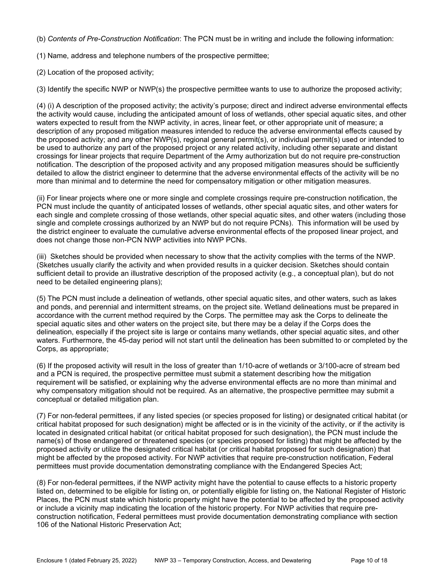(b) Contents of Pre-Construction Notification: The PCN must be in writing and include the following information:

(1) Name, address and telephone numbers of the prospective permittee;

(2) Location of the proposed activity;

(3) Identify the specific NWP or NWP(s) the prospective permittee wants to use to authorize the proposed activity;

(4) (i) A description of the proposed activity; the activity's purpose; direct and indirect adverse environmental effects the activity would cause, including the anticipated amount of loss of wetlands, other special aquatic sites, and other waters expected to result from the NWP activity, in acres, linear feet, or other appropriate unit of measure; a description of any proposed mitigation measures intended to reduce the adverse environmental effects caused by the proposed activity; and any other NWP(s), regional general permit(s), or individual permit(s) used or intended to be used to authorize any part of the proposed project or any related activity, including other separate and distant crossings for linear projects that require Department of the Army authorization but do not require pre-construction notification. The description of the proposed activity and any proposed mitigation measures should be sufficiently detailed to allow the district engineer to determine that the adverse environmental effects of the activity will be no more than minimal and to determine the need for compensatory mitigation or other mitigation measures.

(ii) For linear projects where one or more single and complete crossings require pre-construction notification, the PCN must include the quantity of anticipated losses of wetlands, other special aquatic sites, and other waters for each single and complete crossing of those wetlands, other special aquatic sites, and other waters (including those single and complete crossings authorized by an NWP but do not require PCNs). This information will be used by the district engineer to evaluate the cumulative adverse environmental effects of the proposed linear project, and does not change those non-PCN NWP activities into NWP PCNs.

(iii) Sketches should be provided when necessary to show that the activity complies with the terms of the NWP. (Sketches usually clarify the activity and when provided results in a quicker decision. Sketches should contain sufficient detail to provide an illustrative description of the proposed activity (e.g., a conceptual plan), but do not need to be detailed engineering plans);

(5) The PCN must include a delineation of wetlands, other special aquatic sites, and other waters, such as lakes and ponds, and perennial and intermittent streams, on the project site. Wetland delineations must be prepared in accordance with the current method required by the Corps. The permittee may ask the Corps to delineate the special aquatic sites and other waters on the project site, but there may be a delay if the Corps does the delineation, especially if the project site is large or contains many wetlands, other special aquatic sites, and other waters. Furthermore, the 45-day period will not start until the delineation has been submitted to or completed by the Corps, as appropriate;

(6) If the proposed activity will result in the loss of greater than 1/10-acre of wetlands or 3/100-acre of stream bed and a PCN is required, the prospective permittee must submit a statement describing how the mitigation requirement will be satisfied, or explaining why the adverse environmental effects are no more than minimal and why compensatory mitigation should not be required. As an alternative, the prospective permittee may submit a conceptual or detailed mitigation plan.

(7) For non-federal permittees, if any listed species (or species proposed for listing) or designated critical habitat (or critical habitat proposed for such designation) might be affected or is in the vicinity of the activity, or if the activity is located in designated critical habitat (or critical habitat proposed for such designation), the PCN must include the name(s) of those endangered or threatened species (or species proposed for listing) that might be affected by the proposed activity or utilize the designated critical habitat (or critical habitat proposed for such designation) that might be affected by the proposed activity. For NWP activities that require pre-construction notification, Federal permittees must provide documentation demonstrating compliance with the Endangered Species Act;

(8) For non-federal permittees, if the NWP activity might have the potential to cause effects to a historic property listed on, determined to be eligible for listing on, or potentially eligible for listing on, the National Register of Historic Places, the PCN must state which historic property might have the potential to be affected by the proposed activity or include a vicinity map indicating the location of the historic property. For NWP activities that require preconstruction notification, Federal permittees must provide documentation demonstrating compliance with section 106 of the National Historic Preservation Act;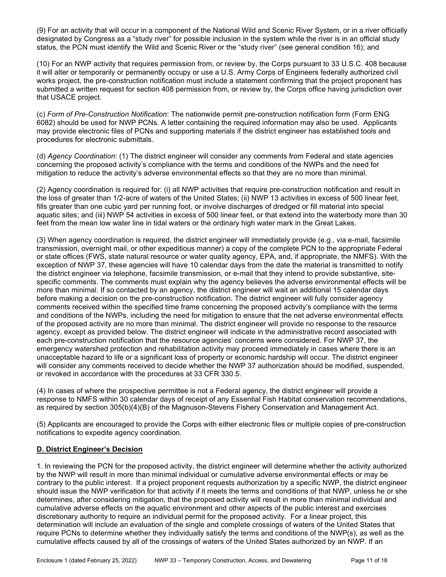(9) For an activity that will occur in a component of the National Wild and Scenic River System, or in a river officially designated by Congress as a "study river" for possible inclusion in the system while the river is in an official study status, the PCN must identify the Wild and Scenic River or the "study river" (see general condition 16); and

(10) For an NWP activity that requires permission from, or review by, the Corps pursuant to 33 U.S.C. 408 because it will alter or temporarily or permanently occupy or use a U.S. Army Corps of Engineers federally authorized civil works project, the pre-construction notification must include a statement confirming that the project proponent has submitted a written request for section 408 permission from, or review by, the Corps office having jurisdiction over that USACE project.

(c) Form of Pre-Construction Notification: The nationwide permit pre-construction notification form (Form ENG 6082) should be used for NWP PCNs. A letter containing the required information may also be used. Applicants may provide electronic files of PCNs and supporting materials if the district engineer has established tools and procedures for electronic submittals.

(d) Agency Coordination: (1) The district engineer will consider any comments from Federal and state agencies concerning the proposed activity's compliance with the terms and conditions of the NWPs and the need for mitigation to reduce the activity's adverse environmental effects so that they are no more than minimal.

(2) Agency coordination is required for: (i) all NWP activities that require pre-construction notification and result in the loss of greater than 1/2-acre of waters of the United States; (ii) NWP 13 activities in excess of 500 linear feet, fills greater than one cubic yard per running foot, or involve discharges of dredged or fill material into special aquatic sites; and (iii) NWP 54 activities in excess of 500 linear feet, or that extend into the waterbody more than 30 feet from the mean low water line in tidal waters or the ordinary high water mark in the Great Lakes.

(3) When agency coordination is required, the district engineer will immediately provide (e.g., via e-mail, facsimile transmission, overnight mail, or other expeditious manner) a copy of the complete PCN to the appropriate Federal or state offices (FWS, state natural resource or water quality agency, EPA, and, if appropriate, the NMFS). With the exception of NWP 37, these agencies will have 10 calendar days from the date the material is transmitted to notify the district engineer via telephone, facsimile transmission, or e-mail that they intend to provide substantive, sitespecific comments. The comments must explain why the agency believes the adverse environmental effects will be more than minimal. If so contacted by an agency, the district engineer will wait an additional 15 calendar days before making a decision on the pre-construction notification. The district engineer will fully consider agency comments received within the specified time frame concerning the proposed activity's compliance with the terms and conditions of the NWPs, including the need for mitigation to ensure that the net adverse environmental effects of the proposed activity are no more than minimal. The district engineer will provide no response to the resource agency, except as provided below. The district engineer will indicate in the administrative record associated with each pre-construction notification that the resource agencies' concerns were considered. For NWP 37, the emergency watershed protection and rehabilitation activity may proceed immediately in cases where there is an unacceptable hazard to life or a significant loss of property or economic hardship will occur. The district engineer will consider any comments received to decide whether the NWP 37 authorization should be modified, suspended, or revoked in accordance with the procedures at 33 CFR 330.5.

(4) In cases of where the prospective permittee is not a Federal agency, the district engineer will provide a response to NMFS within 30 calendar days of receipt of any Essential Fish Habitat conservation recommendations, as required by section 305(b)(4)(B) of the Magnuson-Stevens Fishery Conservation and Management Act.

(5) Applicants are encouraged to provide the Corps with either electronic files or multiple copies of pre-construction notifications to expedite agency coordination.

# D. District Engineer's Decision

1. In reviewing the PCN for the proposed activity, the district engineer will determine whether the activity authorized by the NWP will result in more than minimal individual or cumulative adverse environmental effects or may be contrary to the public interest. If a project proponent requests authorization by a specific NWP, the district engineer should issue the NWP verification for that activity if it meets the terms and conditions of that NWP, unless he or she determines, after considering mitigation, that the proposed activity will result in more than minimal individual and cumulative adverse effects on the aquatic environment and other aspects of the public interest and exercises discretionary authority to require an individual permit for the proposed activity. For a linear project, this determination will include an evaluation of the single and complete crossings of waters of the United States that require PCNs to determine whether they individually satisfy the terms and conditions of the NWP(s), as well as the cumulative effects caused by all of the crossings of waters of the United States authorized by an NWP. If an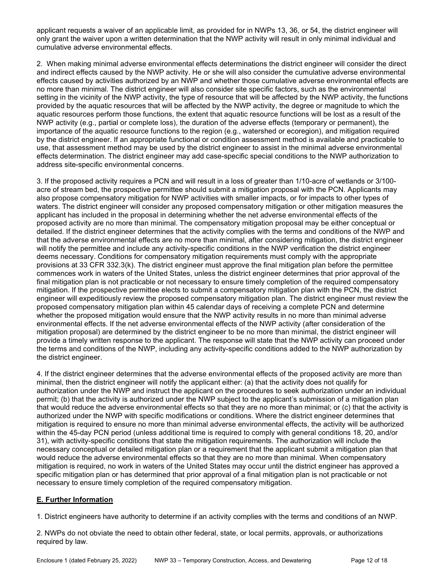applicant requests a waiver of an applicable limit, as provided for in NWPs 13, 36, or 54, the district engineer will only grant the waiver upon a written determination that the NWP activity will result in only minimal individual and cumulative adverse environmental effects.

2. When making minimal adverse environmental effects determinations the district engineer will consider the direct and indirect effects caused by the NWP activity. He or she will also consider the cumulative adverse environmental effects caused by activities authorized by an NWP and whether those cumulative adverse environmental effects are no more than minimal. The district engineer will also consider site specific factors, such as the environmental setting in the vicinity of the NWP activity, the type of resource that will be affected by the NWP activity, the functions provided by the aquatic resources that will be affected by the NWP activity, the degree or magnitude to which the aquatic resources perform those functions, the extent that aquatic resource functions will be lost as a result of the NWP activity (e.g., partial or complete loss), the duration of the adverse effects (temporary or permanent), the importance of the aquatic resource functions to the region (e.g., watershed or ecoregion), and mitigation required by the district engineer. If an appropriate functional or condition assessment method is available and practicable to use, that assessment method may be used by the district engineer to assist in the minimal adverse environmental effects determination. The district engineer may add case-specific special conditions to the NWP authorization to address site-specific environmental concerns.

3. If the proposed activity requires a PCN and will result in a loss of greater than 1/10-acre of wetlands or 3/100 acre of stream bed, the prospective permittee should submit a mitigation proposal with the PCN. Applicants may also propose compensatory mitigation for NWP activities with smaller impacts, or for impacts to other types of waters. The district engineer will consider any proposed compensatory mitigation or other mitigation measures the applicant has included in the proposal in determining whether the net adverse environmental effects of the proposed activity are no more than minimal. The compensatory mitigation proposal may be either conceptual or detailed. If the district engineer determines that the activity complies with the terms and conditions of the NWP and that the adverse environmental effects are no more than minimal, after considering mitigation, the district engineer will notify the permittee and include any activity-specific conditions in the NWP verification the district engineer deems necessary. Conditions for compensatory mitigation requirements must comply with the appropriate provisions at 33 CFR 332.3(k). The district engineer must approve the final mitigation plan before the permittee commences work in waters of the United States, unless the district engineer determines that prior approval of the final mitigation plan is not practicable or not necessary to ensure timely completion of the required compensatory mitigation. If the prospective permittee elects to submit a compensatory mitigation plan with the PCN, the district engineer will expeditiously review the proposed compensatory mitigation plan. The district engineer must review the proposed compensatory mitigation plan within 45 calendar days of receiving a complete PCN and determine whether the proposed mitigation would ensure that the NWP activity results in no more than minimal adverse environmental effects. If the net adverse environmental effects of the NWP activity (after consideration of the mitigation proposal) are determined by the district engineer to be no more than minimal, the district engineer will provide a timely written response to the applicant. The response will state that the NWP activity can proceed under the terms and conditions of the NWP, including any activity-specific conditions added to the NWP authorization by the district engineer.

4. If the district engineer determines that the adverse environmental effects of the proposed activity are more than minimal, then the district engineer will notify the applicant either: (a) that the activity does not qualify for authorization under the NWP and instruct the applicant on the procedures to seek authorization under an individual permit; (b) that the activity is authorized under the NWP subject to the applicant's submission of a mitigation plan that would reduce the adverse environmental effects so that they are no more than minimal; or (c) that the activity is authorized under the NWP with specific modifications or conditions. Where the district engineer determines that mitigation is required to ensure no more than minimal adverse environmental effects, the activity will be authorized within the 45-day PCN period (unless additional time is required to comply with general conditions 18, 20, and/or 31), with activity-specific conditions that state the mitigation requirements. The authorization will include the necessary conceptual or detailed mitigation plan or a requirement that the applicant submit a mitigation plan that would reduce the adverse environmental effects so that they are no more than minimal. When compensatory mitigation is required, no work in waters of the United States may occur until the district engineer has approved a specific mitigation plan or has determined that prior approval of a final mitigation plan is not practicable or not necessary to ensure timely completion of the required compensatory mitigation.

# E. Further Information

1. District engineers have authority to determine if an activity complies with the terms and conditions of an NWP.

2. NWPs do not obviate the need to obtain other federal, state, or local permits, approvals, or authorizations required by law.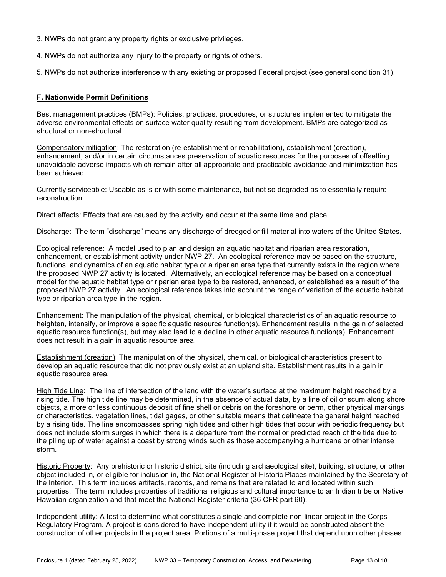- 3. NWPs do not grant any property rights or exclusive privileges.
- 4. NWPs do not authorize any injury to the property or rights of others.

5. NWPs do not authorize interference with any existing or proposed Federal project (see general condition 31).

#### F. Nationwide Permit Definitions

Best management practices (BMPs): Policies, practices, procedures, or structures implemented to mitigate the adverse environmental effects on surface water quality resulting from development. BMPs are categorized as structural or non-structural.

Compensatory mitigation: The restoration (re-establishment or rehabilitation), establishment (creation), enhancement, and/or in certain circumstances preservation of aquatic resources for the purposes of offsetting unavoidable adverse impacts which remain after all appropriate and practicable avoidance and minimization has been achieved.

Currently serviceable: Useable as is or with some maintenance, but not so degraded as to essentially require reconstruction.

Direct effects: Effects that are caused by the activity and occur at the same time and place.

Discharge: The term "discharge" means any discharge of dredged or fill material into waters of the United States.

Ecological reference: A model used to plan and design an aquatic habitat and riparian area restoration, enhancement, or establishment activity under NWP 27. An ecological reference may be based on the structure, functions, and dynamics of an aquatic habitat type or a riparian area type that currently exists in the region where the proposed NWP 27 activity is located. Alternatively, an ecological reference may be based on a conceptual model for the aquatic habitat type or riparian area type to be restored, enhanced, or established as a result of the proposed NWP 27 activity. An ecological reference takes into account the range of variation of the aquatic habitat type or riparian area type in the region.

Enhancement: The manipulation of the physical, chemical, or biological characteristics of an aquatic resource to heighten, intensify, or improve a specific aquatic resource function(s). Enhancement results in the gain of selected aquatic resource function(s), but may also lead to a decline in other aquatic resource function(s). Enhancement does not result in a gain in aquatic resource area.

Establishment (creation): The manipulation of the physical, chemical, or biological characteristics present to develop an aquatic resource that did not previously exist at an upland site. Establishment results in a gain in aquatic resource area.

High Tide Line: The line of intersection of the land with the water's surface at the maximum height reached by a rising tide. The high tide line may be determined, in the absence of actual data, by a line of oil or scum along shore objects, a more or less continuous deposit of fine shell or debris on the foreshore or berm, other physical markings or characteristics, vegetation lines, tidal gages, or other suitable means that delineate the general height reached by a rising tide. The line encompasses spring high tides and other high tides that occur with periodic frequency but does not include storm surges in which there is a departure from the normal or predicted reach of the tide due to the piling up of water against a coast by strong winds such as those accompanying a hurricane or other intense storm.

Historic Property: Any prehistoric or historic district, site (including archaeological site), building, structure, or other object included in, or eligible for inclusion in, the National Register of Historic Places maintained by the Secretary of the Interior. This term includes artifacts, records, and remains that are related to and located within such properties. The term includes properties of traditional religious and cultural importance to an Indian tribe or Native Hawaiian organization and that meet the National Register criteria (36 CFR part 60).

Independent utility: A test to determine what constitutes a single and complete non-linear project in the Corps Regulatory Program. A project is considered to have independent utility if it would be constructed absent the construction of other projects in the project area. Portions of a multi-phase project that depend upon other phases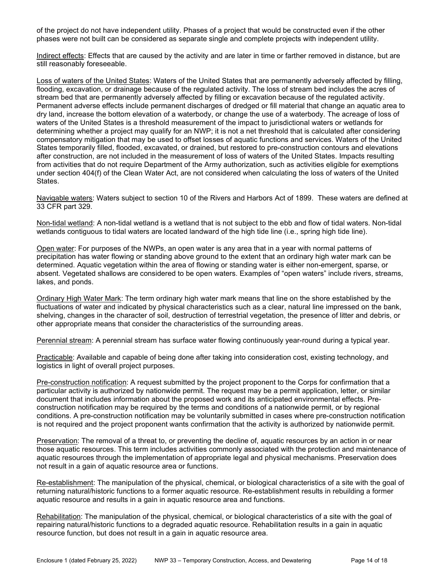of the project do not have independent utility. Phases of a project that would be constructed even if the other phases were not built can be considered as separate single and complete projects with independent utility.

Indirect effects: Effects that are caused by the activity and are later in time or farther removed in distance, but are still reasonably foreseeable.

Loss of waters of the United States: Waters of the United States that are permanently adversely affected by filling, flooding, excavation, or drainage because of the regulated activity. The loss of stream bed includes the acres of stream bed that are permanently adversely affected by filling or excavation because of the regulated activity. Permanent adverse effects include permanent discharges of dredged or fill material that change an aquatic area to dry land, increase the bottom elevation of a waterbody, or change the use of a waterbody. The acreage of loss of waters of the United States is a threshold measurement of the impact to jurisdictional waters or wetlands for determining whether a project may qualify for an NWP; it is not a net threshold that is calculated after considering compensatory mitigation that may be used to offset losses of aquatic functions and services. Waters of the United States temporarily filled, flooded, excavated, or drained, but restored to pre-construction contours and elevations after construction, are not included in the measurement of loss of waters of the United States. Impacts resulting from activities that do not require Department of the Army authorization, such as activities eligible for exemptions under section 404(f) of the Clean Water Act, are not considered when calculating the loss of waters of the United States.

Navigable waters: Waters subject to section 10 of the Rivers and Harbors Act of 1899. These waters are defined at 33 CFR part 329.

Non-tidal wetland: A non-tidal wetland is a wetland that is not subject to the ebb and flow of tidal waters. Non-tidal wetlands contiguous to tidal waters are located landward of the high tide line (i.e., spring high tide line).

Open water: For purposes of the NWPs, an open water is any area that in a year with normal patterns of precipitation has water flowing or standing above ground to the extent that an ordinary high water mark can be determined. Aquatic vegetation within the area of flowing or standing water is either non-emergent, sparse, or absent. Vegetated shallows are considered to be open waters. Examples of "open waters" include rivers, streams, lakes, and ponds.

Ordinary High Water Mark: The term ordinary high water mark means that line on the shore established by the fluctuations of water and indicated by physical characteristics such as a clear, natural line impressed on the bank, shelving, changes in the character of soil, destruction of terrestrial vegetation, the presence of litter and debris, or other appropriate means that consider the characteristics of the surrounding areas.

Perennial stream: A perennial stream has surface water flowing continuously year-round during a typical year.

Practicable: Available and capable of being done after taking into consideration cost, existing technology, and logistics in light of overall project purposes.

Pre-construction notification: A request submitted by the project proponent to the Corps for confirmation that a particular activity is authorized by nationwide permit. The request may be a permit application, letter, or similar document that includes information about the proposed work and its anticipated environmental effects. Preconstruction notification may be required by the terms and conditions of a nationwide permit, or by regional conditions. A pre-construction notification may be voluntarily submitted in cases where pre-construction notification is not required and the project proponent wants confirmation that the activity is authorized by nationwide permit.

Preservation: The removal of a threat to, or preventing the decline of, aquatic resources by an action in or near those aquatic resources. This term includes activities commonly associated with the protection and maintenance of aquatic resources through the implementation of appropriate legal and physical mechanisms. Preservation does not result in a gain of aquatic resource area or functions.

Re-establishment: The manipulation of the physical, chemical, or biological characteristics of a site with the goal of returning natural/historic functions to a former aquatic resource. Re-establishment results in rebuilding a former aquatic resource and results in a gain in aquatic resource area and functions.

Rehabilitation: The manipulation of the physical, chemical, or biological characteristics of a site with the goal of repairing natural/historic functions to a degraded aquatic resource. Rehabilitation results in a gain in aquatic resource function, but does not result in a gain in aquatic resource area.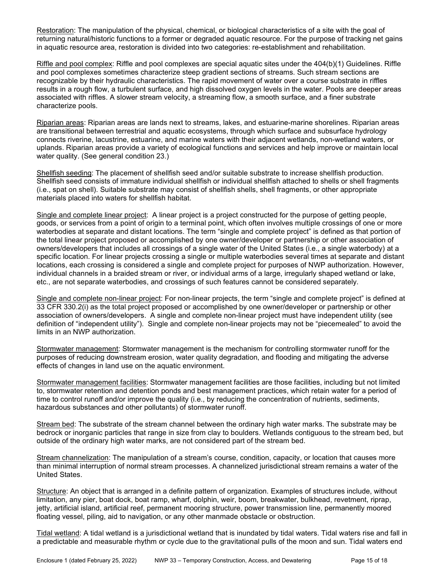Restoration: The manipulation of the physical, chemical, or biological characteristics of a site with the goal of returning natural/historic functions to a former or degraded aquatic resource. For the purpose of tracking net gains in aquatic resource area, restoration is divided into two categories: re-establishment and rehabilitation.

Riffle and pool complex: Riffle and pool complexes are special aquatic sites under the 404(b)(1) Guidelines. Riffle and pool complexes sometimes characterize steep gradient sections of streams. Such stream sections are recognizable by their hydraulic characteristics. The rapid movement of water over a course substrate in riffles results in a rough flow, a turbulent surface, and high dissolved oxygen levels in the water. Pools are deeper areas associated with riffles. A slower stream velocity, a streaming flow, a smooth surface, and a finer substrate characterize pools.

Riparian areas: Riparian areas are lands next to streams, lakes, and estuarine-marine shorelines. Riparian areas are transitional between terrestrial and aquatic ecosystems, through which surface and subsurface hydrology connects riverine, lacustrine, estuarine, and marine waters with their adjacent wetlands, non-wetland waters, or uplands. Riparian areas provide a variety of ecological functions and services and help improve or maintain local water quality. (See general condition 23.)

Shellfish seeding: The placement of shellfish seed and/or suitable substrate to increase shellfish production. Shellfish seed consists of immature individual shellfish or individual shellfish attached to shells or shell fragments (i.e., spat on shell). Suitable substrate may consist of shellfish shells, shell fragments, or other appropriate materials placed into waters for shellfish habitat.

Single and complete linear project: A linear project is a project constructed for the purpose of getting people, goods, or services from a point of origin to a terminal point, which often involves multiple crossings of one or more waterbodies at separate and distant locations. The term "single and complete project" is defined as that portion of the total linear project proposed or accomplished by one owner/developer or partnership or other association of owners/developers that includes all crossings of a single water of the United States (i.e., a single waterbody) at a specific location. For linear projects crossing a single or multiple waterbodies several times at separate and distant locations, each crossing is considered a single and complete project for purposes of NWP authorization. However, individual channels in a braided stream or river, or individual arms of a large, irregularly shaped wetland or lake, etc., are not separate waterbodies, and crossings of such features cannot be considered separately.

Single and complete non-linear project: For non-linear projects, the term "single and complete project" is defined at 33 CFR 330.2(i) as the total project proposed or accomplished by one owner/developer or partnership or other association of owners/developers. A single and complete non-linear project must have independent utility (see definition of "independent utility"). Single and complete non-linear projects may not be "piecemealed" to avoid the limits in an NWP authorization.

Stormwater management: Stormwater management is the mechanism for controlling stormwater runoff for the purposes of reducing downstream erosion, water quality degradation, and flooding and mitigating the adverse effects of changes in land use on the aquatic environment.

Stormwater management facilities: Stormwater management facilities are those facilities, including but not limited to, stormwater retention and detention ponds and best management practices, which retain water for a period of time to control runoff and/or improve the quality (i.e., by reducing the concentration of nutrients, sediments, hazardous substances and other pollutants) of stormwater runoff.

Stream bed: The substrate of the stream channel between the ordinary high water marks. The substrate may be bedrock or inorganic particles that range in size from clay to boulders. Wetlands contiguous to the stream bed, but outside of the ordinary high water marks, are not considered part of the stream bed.

Stream channelization: The manipulation of a stream's course, condition, capacity, or location that causes more than minimal interruption of normal stream processes. A channelized jurisdictional stream remains a water of the United States.

Structure: An object that is arranged in a definite pattern of organization. Examples of structures include, without limitation, any pier, boat dock, boat ramp, wharf, dolphin, weir, boom, breakwater, bulkhead, revetment, riprap, jetty, artificial island, artificial reef, permanent mooring structure, power transmission line, permanently moored floating vessel, piling, aid to navigation, or any other manmade obstacle or obstruction.

Tidal wetland: A tidal wetland is a jurisdictional wetland that is inundated by tidal waters. Tidal waters rise and fall in a predictable and measurable rhythm or cycle due to the gravitational pulls of the moon and sun. Tidal waters end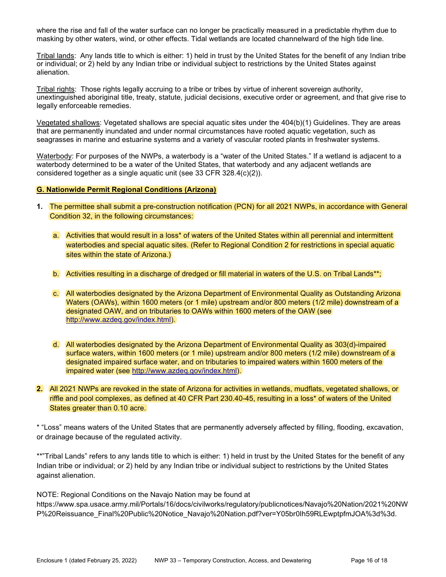where the rise and fall of the water surface can no longer be practically measured in a predictable rhythm due to masking by other waters, wind, or other effects. Tidal wetlands are located channelward of the high tide line.

Tribal lands: Any lands title to which is either: 1) held in trust by the United States for the benefit of any Indian tribe or individual; or 2) held by any Indian tribe or individual subject to restrictions by the United States against alienation.

Tribal rights: Those rights legally accruing to a tribe or tribes by virtue of inherent sovereign authority, unextinguished aboriginal title, treaty, statute, judicial decisions, executive order or agreement, and that give rise to legally enforceable remedies.

Vegetated shallows: Vegetated shallows are special aquatic sites under the 404(b)(1) Guidelines. They are areas that are permanently inundated and under normal circumstances have rooted aquatic vegetation, such as seagrasses in marine and estuarine systems and a variety of vascular rooted plants in freshwater systems.

Waterbody: For purposes of the NWPs, a waterbody is a "water of the United States." If a wetland is adjacent to a waterbody determined to be a water of the United States, that waterbody and any adjacent wetlands are considered together as a single aquatic unit (see 33 CFR 328.4(c)(2)).

# G. Nationwide Permit Regional Conditions (Arizona)

- 1. The permittee shall submit a pre-construction notification (PCN) for all 2021 NWPs, in accordance with General Condition 32, in the following circumstances:
	- a. Activities that would result in a loss\* of waters of the United States within all perennial and intermittent waterbodies and special aquatic sites. (Refer to Regional Condition 2 for restrictions in special aquatic sites within the state of Arizona.)
	- b. Activities resulting in a discharge of dredged or fill material in waters of the U.S. on Tribal Lands\*\*;
	- c. All waterbodies designated by the Arizona Department of Environmental Quality as Outstanding Arizona Waters (OAWs), within 1600 meters (or 1 mile) upstream and/or 800 meters (1/2 mile) downstream of a designated OAW, and on tributaries to OAWs within 1600 meters of the OAW (see http://www.azdeq.gov/index.html).
	- d. All waterbodies designated by the Arizona Department of Environmental Quality as 303(d)-impaired surface waters, within 1600 meters (or 1 mile) upstream and/or 800 meters (1/2 mile) downstream of a designated impaired surface water, and on tributaries to impaired waters within 1600 meters of the impaired water (see http://www.azdeq.gov/index.html).
- 2. All 2021 NWPs are revoked in the state of Arizona for activities in wetlands, mudflats, vegetated shallows, or riffle and pool complexes, as defined at 40 CFR Part 230.40-45, resulting in a loss\* of waters of the United States greater than 0.10 acre.

\* "Loss" means waters of the United States that are permanently adversely affected by filling, flooding, excavation, or drainage because of the regulated activity.

\*\*"Tribal Lands" refers to any lands title to which is either: 1) held in trust by the United States for the benefit of any Indian tribe or individual; or 2) held by any Indian tribe or individual subject to restrictions by the United States against alienation.

P%20Reissuance\_Final%20Public%20Notice\_Navajo%20Nation.pdf?ver=Y05br0Ih59RLEwptpfmJOA%3d%3d.

NOTE: Regional Conditions on the Navajo Nation may be found at https://www.spa.usace.army.mil/Portals/16/docs/civilworks/regulatory/publicnotices/Navajo%20Nation/2021%20NW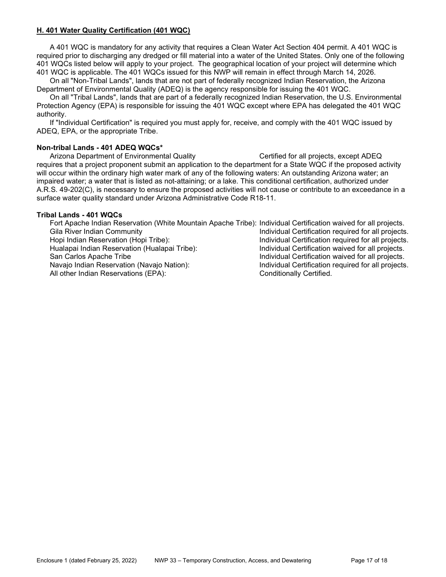### H. 401 Water Quality Certification (401 WQC)

 A 401 WQC is mandatory for any activity that requires a Clean Water Act Section 404 permit. A 401 WQC is required prior to discharging any dredged or fill material into a water of the United States. Only one of the following 401 WQCs listed below will apply to your project. The geographical location of your project will determine which 401 WQC is applicable. The 401 WQCs issued for this NWP will remain in effect through March 14, 2026.

 On all "Non-Tribal Lands", lands that are not part of federally recognized Indian Reservation, the Arizona Department of Environmental Quality (ADEQ) is the agency responsible for issuing the 401 WQC.

 On all "Tribal Lands", lands that are part of a federally recognized Indian Reservation, the U.S. Environmental Protection Agency (EPA) is responsible for issuing the 401 WQC except where EPA has delegated the 401 WQC authority.

 If "Individual Certification" is required you must apply for, receive, and comply with the 401 WQC issued by ADEQ, EPA, or the appropriate Tribe.

### Non-tribal Lands - 401 ADEQ WQCs\*

Arizona Department of Environmental Quality Certified for all projects, except ADEQ requires that a project proponent submit an application to the department for a State WQC if the proposed activity will occur within the ordinary high water mark of any of the following waters: An outstanding Arizona water; an impaired water; a water that is listed as not-attaining; or a lake. This conditional certification, authorized under A.R.S. 49-202(C), is necessary to ensure the proposed activities will not cause or contribute to an exceedance in a surface water quality standard under Arizona Administrative Code R18-11.

#### Tribal Lands - 401 WQCs

 Fort Apache Indian Reservation (White Mountain Apache Tribe): Individual Certification waived for all projects. Gila River Indian Community **Individual Certification required for all projects.** Hopi Indian Reservation (Hopi Tribe): Individual Certification required for all projects. Hualapai Indian Reservation (Hualapai Tribe): Individual Certification waived for all projects. San Carlos Apache Tribe **Individual Certification waived for all projects**. Navajo Indian Reservation (Navajo Nation): Individual Certification required for all projects. All other Indian Reservations (EPA): Conditionally Certified.